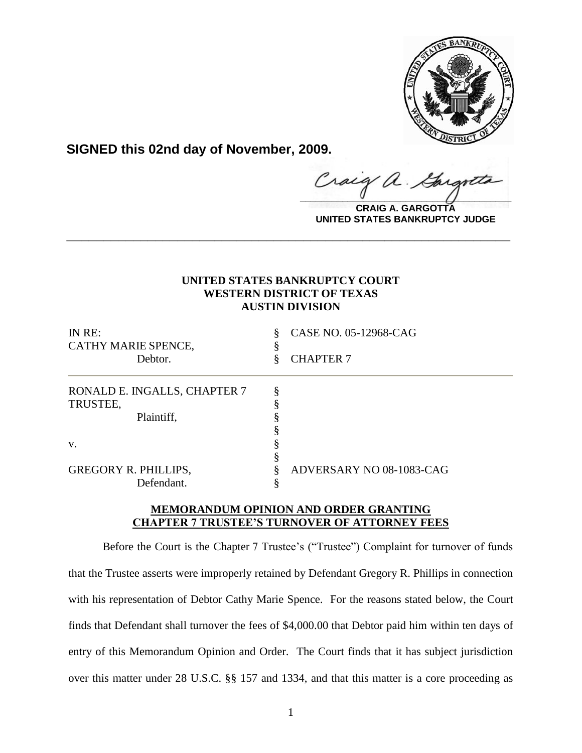

**SIGNED this 02nd day of November, 2009.**

Craig  $\frac{1}{2}$ 

**CRAIG A. GARGOTTA UNITED STATES BANKRUPTCY JUDGE**

# **UNITED STATES BANKRUPTCY COURT WESTERN DISTRICT OF TEXAS AUSTIN DIVISION**

**\_\_\_\_\_\_\_\_\_\_\_\_\_\_\_\_\_\_\_\_\_\_\_\_\_\_\_\_\_\_\_\_\_\_\_\_\_\_\_\_\_\_\_\_\_\_\_\_\_\_\_\_\_\_\_\_\_\_\_\_**

| IN RE:                       | ş | CASE NO. 05-12968-CAG    |
|------------------------------|---|--------------------------|
| CATHY MARIE SPENCE,          |   |                          |
| Debtor.                      |   | <b>CHAPTER 7</b>         |
| RONALD E. INGALLS, CHAPTER 7 |   |                          |
| TRUSTEE,                     |   |                          |
| Plaintiff,                   |   |                          |
|                              |   |                          |
| V.                           |   |                          |
|                              |   |                          |
| <b>GREGORY R. PHILLIPS,</b>  |   | ADVERSARY NO 08-1083-CAG |
| Defendant.                   |   |                          |

# **MEMORANDUM OPINION AND ORDER GRANTING CHAPTER 7 TRUSTEE'S TURNOVER OF ATTORNEY FEES**

Before the Court is the Chapter 7 Trustee's ("Trustee") Complaint for turnover of funds that the Trustee asserts were improperly retained by Defendant Gregory R. Phillips in connection with his representation of Debtor Cathy Marie Spence. For the reasons stated below, the Court finds that Defendant shall turnover the fees of \$4,000.00 that Debtor paid him within ten days of entry of this Memorandum Opinion and Order. The Court finds that it has subject jurisdiction over this matter under 28 U.S.C. §§ 157 and 1334, and that this matter is a core proceeding as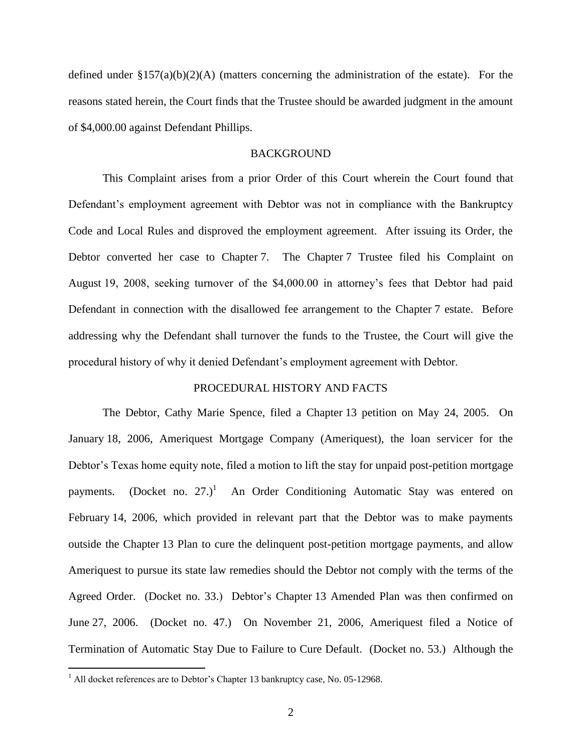defined under  $\S 157(a)(b)(2)(A)$  (matters concerning the administration of the estate). For the reasons stated herein, the Court finds that the Trustee should be awarded judgment in the amount of \$4,000.00 against Defendant Phillips.

#### **BACKGROUND**

This Complaint arises from a prior Order of this Court wherein the Court found that Defendant's employment agreement with Debtor was not in compliance with the Bankruptcy Code and Local Rules and disproved the employment agreement. After issuing its Order, the Debtor converted her case to Chapter 7. The Chapter 7 Trustee filed his Complaint on August 19, 2008, seeking turnover of the \$4,000.00 in attorney"s fees that Debtor had paid Defendant in connection with the disallowed fee arrangement to the Chapter 7 estate. Before addressing why the Defendant shall turnover the funds to the Trustee, the Court will give the procedural history of why it denied Defendant"s employment agreement with Debtor.

## PROCEDURAL HISTORY AND FACTS

The Debtor, Cathy Marie Spence, filed a Chapter 13 petition on May 24, 2005. On January 18, 2006, Ameriquest Mortgage Company (Ameriquest), the loan servicer for the Debtor's Texas home equity note, filed a motion to lift the stay for unpaid post-petition mortgage payments. (Docket no. 27.)<sup>1</sup> An Order Conditioning Automatic Stay was entered on February 14, 2006, which provided in relevant part that the Debtor was to make payments outside the Chapter 13 Plan to cure the delinquent post-petition mortgage payments, and allow Ameriquest to pursue its state law remedies should the Debtor not comply with the terms of the Agreed Order. (Docket no. 33.) Debtor's Chapter 13 Amended Plan was then confirmed on June 27, 2006. (Docket no. 47.) On November 21, 2006, Ameriquest filed a Notice of Termination of Automatic Stay Due to Failure to Cure Default. (Docket no. 53.) Although the

 $\overline{a}$ 

 $1$  All docket references are to Debtor's Chapter 13 bankruptcy case, No. 05-12968.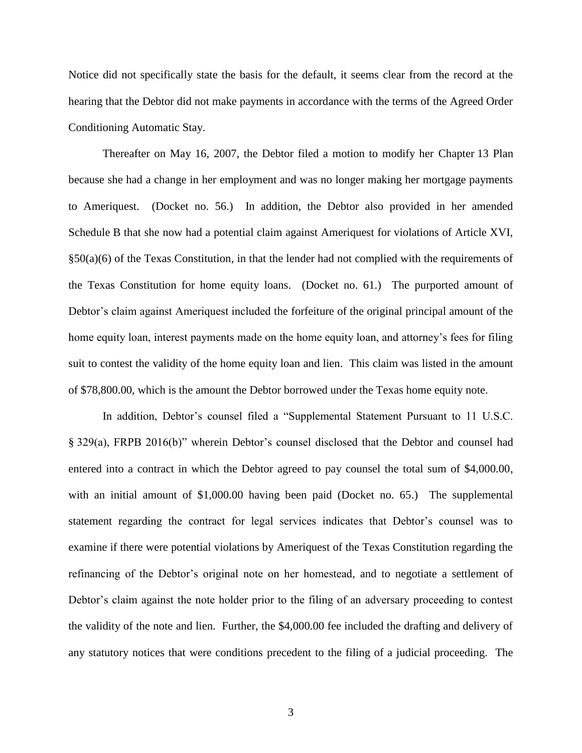Notice did not specifically state the basis for the default, it seems clear from the record at the hearing that the Debtor did not make payments in accordance with the terms of the Agreed Order Conditioning Automatic Stay.

Thereafter on May 16, 2007, the Debtor filed a motion to modify her Chapter 13 Plan because she had a change in her employment and was no longer making her mortgage payments to Ameriquest. (Docket no. 56.) In addition, the Debtor also provided in her amended Schedule B that she now had a potential claim against Ameriquest for violations of Article XVI,  $\S50(a)(6)$  of the Texas Constitution, in that the lender had not complied with the requirements of the Texas Constitution for home equity loans. (Docket no. 61.) The purported amount of Debtor's claim against Ameriquest included the forfeiture of the original principal amount of the home equity loan, interest payments made on the home equity loan, and attorney's fees for filing suit to contest the validity of the home equity loan and lien. This claim was listed in the amount of \$78,800.00, which is the amount the Debtor borrowed under the Texas home equity note.

In addition, Debtor's counsel filed a "Supplemental Statement Pursuant to 11 U.S.C. § 329(a), FRPB 2016(b)" wherein Debtor"s counsel disclosed that the Debtor and counsel had entered into a contract in which the Debtor agreed to pay counsel the total sum of \$4,000.00, with an initial amount of \$1,000.00 having been paid (Docket no. 65.) The supplemental statement regarding the contract for legal services indicates that Debtor"s counsel was to examine if there were potential violations by Ameriquest of the Texas Constitution regarding the refinancing of the Debtor's original note on her homestead, and to negotiate a settlement of Debtor's claim against the note holder prior to the filing of an adversary proceeding to contest the validity of the note and lien. Further, the \$4,000.00 fee included the drafting and delivery of any statutory notices that were conditions precedent to the filing of a judicial proceeding. The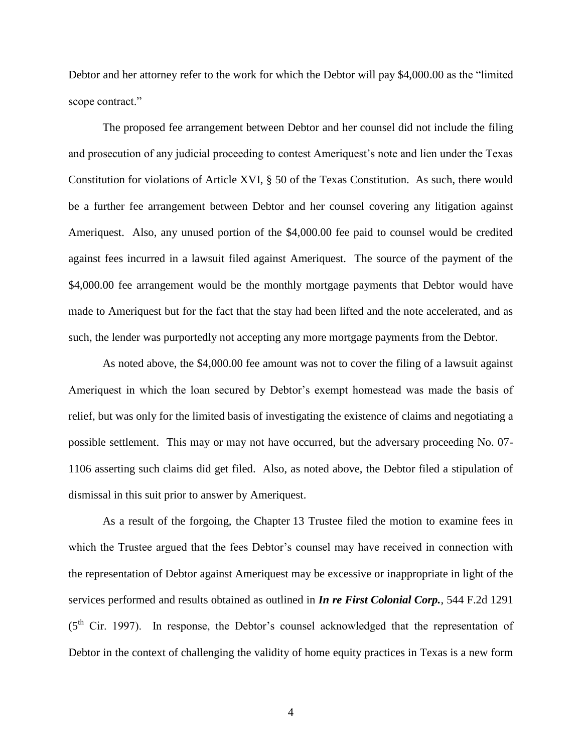Debtor and her attorney refer to the work for which the Debtor will pay \$4,000.00 as the "limited scope contract."

The proposed fee arrangement between Debtor and her counsel did not include the filing and prosecution of any judicial proceeding to contest Ameriquest's note and lien under the Texas Constitution for violations of Article XVI, § 50 of the Texas Constitution. As such, there would be a further fee arrangement between Debtor and her counsel covering any litigation against Ameriquest. Also, any unused portion of the \$4,000.00 fee paid to counsel would be credited against fees incurred in a lawsuit filed against Ameriquest. The source of the payment of the \$4,000.00 fee arrangement would be the monthly mortgage payments that Debtor would have made to Ameriquest but for the fact that the stay had been lifted and the note accelerated, and as such, the lender was purportedly not accepting any more mortgage payments from the Debtor.

As noted above, the \$4,000.00 fee amount was not to cover the filing of a lawsuit against Ameriquest in which the loan secured by Debtor's exempt homestead was made the basis of relief, but was only for the limited basis of investigating the existence of claims and negotiating a possible settlement. This may or may not have occurred, but the adversary proceeding No. 07- 1106 asserting such claims did get filed. Also, as noted above, the Debtor filed a stipulation of dismissal in this suit prior to answer by Ameriquest.

As a result of the forgoing, the Chapter 13 Trustee filed the motion to examine fees in which the Trustee argued that the fees Debtor's counsel may have received in connection with the representation of Debtor against Ameriquest may be excessive or inappropriate in light of the services performed and results obtained as outlined in *In re First Colonial Corp.*, 544 F.2d 1291  $(5<sup>th</sup>$  Cir. 1997). In response, the Debtor's counsel acknowledged that the representation of Debtor in the context of challenging the validity of home equity practices in Texas is a new form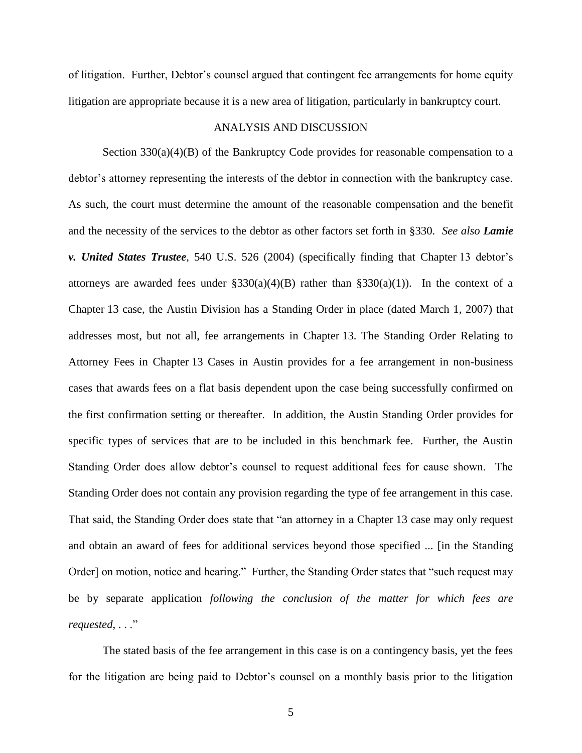of litigation. Further, Debtor"s counsel argued that contingent fee arrangements for home equity litigation are appropriate because it is a new area of litigation, particularly in bankruptcy court.

## ANALYSIS AND DISCUSSION

Section 330(a)(4)(B) of the Bankruptcy Code provides for reasonable compensation to a debtor's attorney representing the interests of the debtor in connection with the bankruptcy case. As such, the court must determine the amount of the reasonable compensation and the benefit and the necessity of the services to the debtor as other factors set forth in §330. *See also Lamie v. United States Trustee*, 540 U.S. 526 (2004) (specifically finding that Chapter 13 debtor's attorneys are awarded fees under  $\S 330(a)(4)(B)$  rather than  $\S 330(a)(1)$ ). In the context of a Chapter 13 case, the Austin Division has a Standing Order in place (dated March 1, 2007) that addresses most, but not all, fee arrangements in Chapter 13. The Standing Order Relating to Attorney Fees in Chapter 13 Cases in Austin provides for a fee arrangement in non-business cases that awards fees on a flat basis dependent upon the case being successfully confirmed on the first confirmation setting or thereafter. In addition, the Austin Standing Order provides for specific types of services that are to be included in this benchmark fee. Further, the Austin Standing Order does allow debtor's counsel to request additional fees for cause shown. The Standing Order does not contain any provision regarding the type of fee arrangement in this case. That said, the Standing Order does state that "an attorney in a Chapter 13 case may only request and obtain an award of fees for additional services beyond those specified ... [in the Standing Order] on motion, notice and hearing." Further, the Standing Order states that "such request may be by separate application *following the conclusion of the matter for which fees are requested*, . . ."

The stated basis of the fee arrangement in this case is on a contingency basis, yet the fees for the litigation are being paid to Debtor"s counsel on a monthly basis prior to the litigation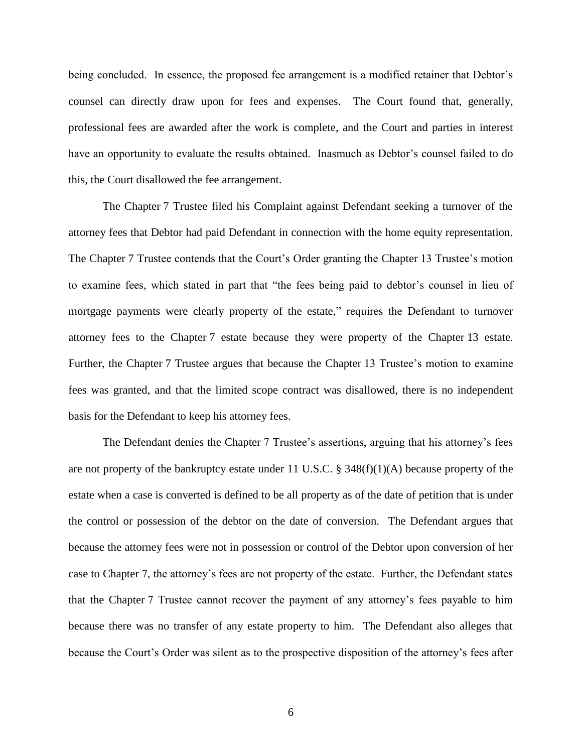being concluded. In essence, the proposed fee arrangement is a modified retainer that Debtor"s counsel can directly draw upon for fees and expenses. The Court found that, generally, professional fees are awarded after the work is complete, and the Court and parties in interest have an opportunity to evaluate the results obtained. Inasmuch as Debtor's counsel failed to do this, the Court disallowed the fee arrangement.

The Chapter 7 Trustee filed his Complaint against Defendant seeking a turnover of the attorney fees that Debtor had paid Defendant in connection with the home equity representation. The Chapter 7 Trustee contends that the Court's Order granting the Chapter 13 Trustee's motion to examine fees, which stated in part that "the fees being paid to debtor"s counsel in lieu of mortgage payments were clearly property of the estate," requires the Defendant to turnover attorney fees to the Chapter 7 estate because they were property of the Chapter 13 estate. Further, the Chapter 7 Trustee argues that because the Chapter 13 Trustee"s motion to examine fees was granted, and that the limited scope contract was disallowed, there is no independent basis for the Defendant to keep his attorney fees.

The Defendant denies the Chapter 7 Trustee's assertions, arguing that his attorney's fees are not property of the bankruptcy estate under 11 U.S.C. § 348(f)(1)(A) because property of the estate when a case is converted is defined to be all property as of the date of petition that is under the control or possession of the debtor on the date of conversion. The Defendant argues that because the attorney fees were not in possession or control of the Debtor upon conversion of her case to Chapter 7, the attorney"s fees are not property of the estate. Further, the Defendant states that the Chapter 7 Trustee cannot recover the payment of any attorney"s fees payable to him because there was no transfer of any estate property to him. The Defendant also alleges that because the Court"s Order was silent as to the prospective disposition of the attorney"s fees after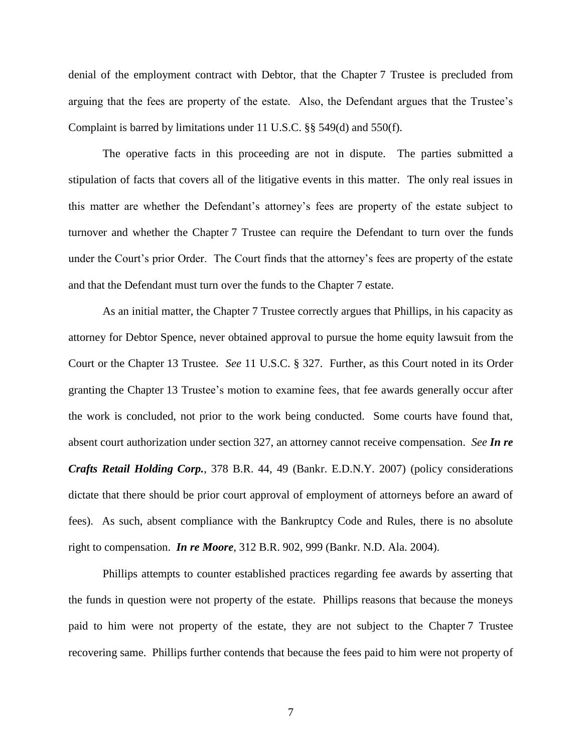denial of the employment contract with Debtor, that the Chapter 7 Trustee is precluded from arguing that the fees are property of the estate. Also, the Defendant argues that the Trustee"s Complaint is barred by limitations under 11 U.S.C. §§ 549(d) and 550(f).

The operative facts in this proceeding are not in dispute. The parties submitted a stipulation of facts that covers all of the litigative events in this matter. The only real issues in this matter are whether the Defendant"s attorney"s fees are property of the estate subject to turnover and whether the Chapter 7 Trustee can require the Defendant to turn over the funds under the Court's prior Order. The Court finds that the attorney's fees are property of the estate and that the Defendant must turn over the funds to the Chapter 7 estate.

As an initial matter, the Chapter 7 Trustee correctly argues that Phillips, in his capacity as attorney for Debtor Spence, never obtained approval to pursue the home equity lawsuit from the Court or the Chapter 13 Trustee. *See* 11 U.S.C. § 327. Further, as this Court noted in its Order granting the Chapter 13 Trustee's motion to examine fees, that fee awards generally occur after the work is concluded, not prior to the work being conducted. Some courts have found that, absent court authorization under section 327, an attorney cannot receive compensation. *See In re Crafts Retail Holding Corp.*, 378 B.R. 44, 49 (Bankr. E.D.N.Y. 2007) (policy considerations dictate that there should be prior court approval of employment of attorneys before an award of fees). As such, absent compliance with the Bankruptcy Code and Rules, there is no absolute right to compensation. *In re Moore*, 312 B.R. 902, 999 (Bankr. N.D. Ala. 2004).

Phillips attempts to counter established practices regarding fee awards by asserting that the funds in question were not property of the estate. Phillips reasons that because the moneys paid to him were not property of the estate, they are not subject to the Chapter 7 Trustee recovering same. Phillips further contends that because the fees paid to him were not property of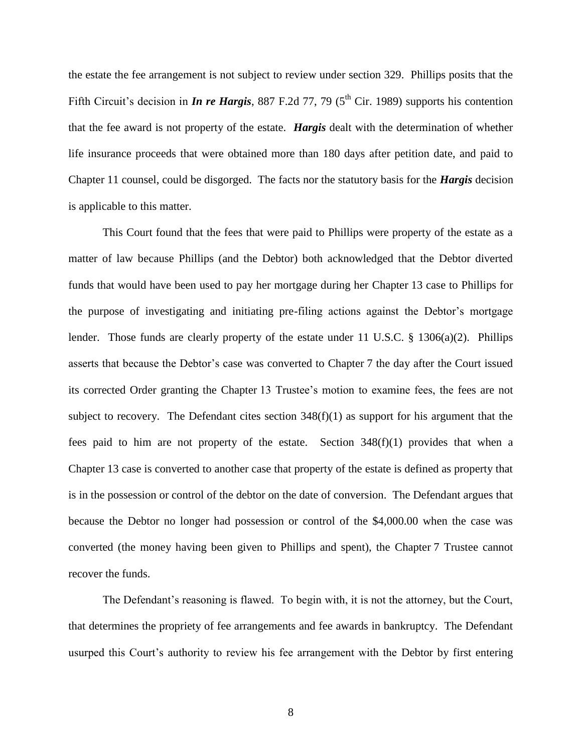the estate the fee arrangement is not subject to review under section 329. Phillips posits that the Fifth Circuit's decision in *In re Hargis*, 887 F.2d 77, 79 (5<sup>th</sup> Cir. 1989) supports his contention that the fee award is not property of the estate. *Hargis* dealt with the determination of whether life insurance proceeds that were obtained more than 180 days after petition date, and paid to Chapter 11 counsel, could be disgorged. The facts nor the statutory basis for the *Hargis* decision is applicable to this matter.

This Court found that the fees that were paid to Phillips were property of the estate as a matter of law because Phillips (and the Debtor) both acknowledged that the Debtor diverted funds that would have been used to pay her mortgage during her Chapter 13 case to Phillips for the purpose of investigating and initiating pre-filing actions against the Debtor"s mortgage lender. Those funds are clearly property of the estate under 11 U.S.C. § 1306(a)(2). Phillips asserts that because the Debtor's case was converted to Chapter 7 the day after the Court issued its corrected Order granting the Chapter 13 Trustee's motion to examine fees, the fees are not subject to recovery. The Defendant cites section 348(f)(1) as support for his argument that the fees paid to him are not property of the estate. Section  $348(f)(1)$  provides that when a Chapter 13 case is converted to another case that property of the estate is defined as property that is in the possession or control of the debtor on the date of conversion. The Defendant argues that because the Debtor no longer had possession or control of the \$4,000.00 when the case was converted (the money having been given to Phillips and spent), the Chapter 7 Trustee cannot recover the funds.

The Defendant's reasoning is flawed. To begin with, it is not the attorney, but the Court, that determines the propriety of fee arrangements and fee awards in bankruptcy. The Defendant usurped this Court"s authority to review his fee arrangement with the Debtor by first entering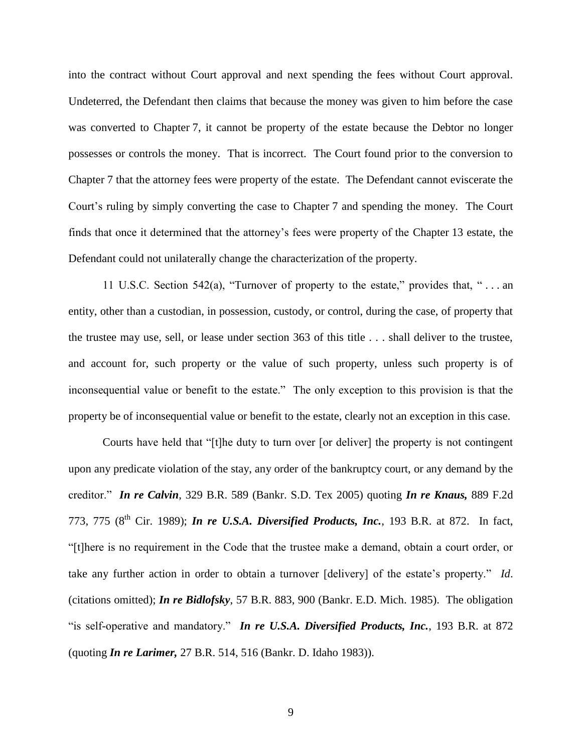into the contract without Court approval and next spending the fees without Court approval. Undeterred, the Defendant then claims that because the money was given to him before the case was converted to Chapter 7, it cannot be property of the estate because the Debtor no longer possesses or controls the money. That is incorrect. The Court found prior to the conversion to Chapter 7 that the attorney fees were property of the estate. The Defendant cannot eviscerate the Court's ruling by simply converting the case to Chapter 7 and spending the money. The Court finds that once it determined that the attorney"s fees were property of the Chapter 13 estate, the Defendant could not unilaterally change the characterization of the property.

11 U.S.C. Section 542(a), "Turnover of property to the estate," provides that, " . . . an entity, other than a custodian, in possession, custody, or control, during the case, of property that the trustee may use, sell, or lease under section 363 of this title . . . shall deliver to the trustee, and account for, such property or the value of such property, unless such property is of inconsequential value or benefit to the estate." The only exception to this provision is that the property be of inconsequential value or benefit to the estate, clearly not an exception in this case.

Courts have held that "[t]he duty to turn over [or deliver] the property is not contingent upon any predicate violation of the stay, any order of the bankruptcy court, or any demand by the creditor." *In re Calvin*, 329 B.R. 589 (Bankr. S.D. Tex 2005) quoting *In re Knaus,* 889 F.2d 773, 775 (8<sup>th</sup> Cir. 1989); *In re U.S.A. Diversified Products, Inc.*, 193 B.R. at 872. In fact, "[t]here is no requirement in the Code that the trustee make a demand, obtain a court order, or take any further action in order to obtain a turnover [delivery] of the estate"s property." *Id*. (citations omitted); *In re Bidlofsky*, 57 B.R. 883, 900 (Bankr. E.D. Mich. 1985). The obligation "is self-operative and mandatory." *In re U.S.A. Diversified Products, Inc.*, 193 B.R. at 872 (quoting *In re Larimer,* 27 B.R. 514, 516 (Bankr. D. Idaho 1983)).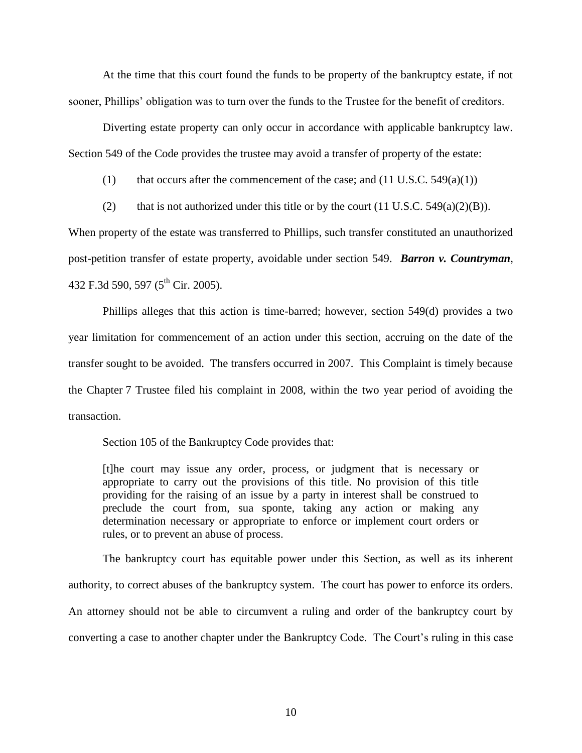At the time that this court found the funds to be property of the bankruptcy estate, if not sooner, Phillips' obligation was to turn over the funds to the Trustee for the benefit of creditors.

Diverting estate property can only occur in accordance with applicable bankruptcy law. Section 549 of the Code provides the trustee may avoid a transfer of property of the estate:

(1) that occurs after the commencement of the case; and  $(11 \text{ U.S.C. } 549(a)(1))$ 

(2) that is not authorized under this title or by the court  $(11 \text{ U.S.C. } 549(a)(2)(B)).$ 

When property of the estate was transferred to Phillips, such transfer constituted an unauthorized post-petition transfer of estate property, avoidable under section 549. *Barron v. Countryman*, 432 F.3d 590, 597 (5<sup>th</sup> Cir. 2005).

Phillips alleges that this action is time-barred; however, section 549(d) provides a two year limitation for commencement of an action under this section, accruing on the date of the transfer sought to be avoided. The transfers occurred in 2007. This Complaint is timely because the Chapter 7 Trustee filed his complaint in 2008, within the two year period of avoiding the transaction.

Section 105 of the Bankruptcy Code provides that:

[t]he court may issue any order, process, or judgment that is necessary or appropriate to carry out the provisions of this title. No provision of this title providing for the raising of an issue by a party in interest shall be construed to preclude the court from, sua sponte, taking any action or making any determination necessary or appropriate to enforce or implement court orders or rules, or to prevent an abuse of process.

The bankruptcy court has equitable power under this Section, as well as its inherent authority, to correct abuses of the bankruptcy system. The court has power to enforce its orders. An attorney should not be able to circumvent a ruling and order of the bankruptcy court by converting a case to another chapter under the Bankruptcy Code. The Court's ruling in this case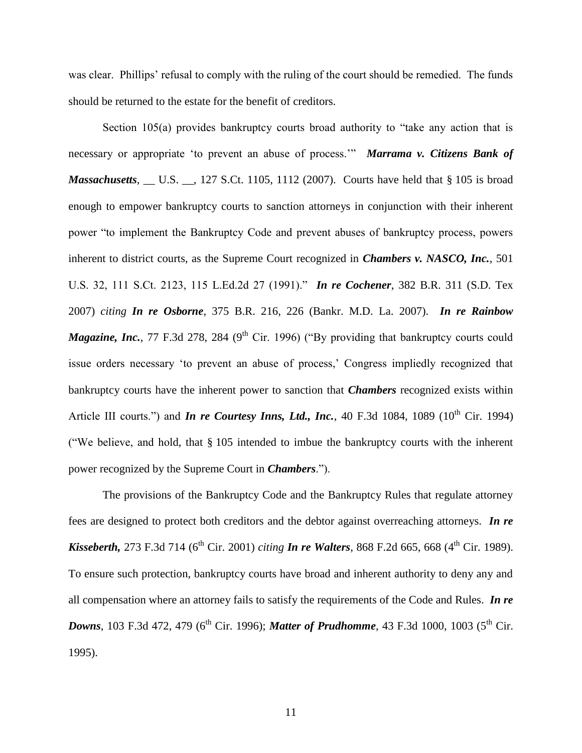was clear. Phillips' refusal to comply with the ruling of the court should be remedied. The funds should be returned to the estate for the benefit of creditors.

Section 105(a) provides bankruptcy courts broad authority to "take any action that is necessary or appropriate "to prevent an abuse of process."" *Marrama v. Citizens Bank of Massachusetts*, \_\_ U.S. \_\_, 127 S.Ct. 1105, 1112 (2007). Courts have held that § 105 is broad enough to empower bankruptcy courts to sanction attorneys in conjunction with their inherent power "to implement the Bankruptcy Code and prevent abuses of bankruptcy process, powers inherent to district courts, as the Supreme Court recognized in *Chambers v. NASCO, Inc.*, 501 U.S. 32, 111 S.Ct. 2123, 115 L.Ed.2d 27 (1991)." *In re Cochener*, 382 B.R. 311 (S.D. Tex 2007) *citing In re Osborne*, 375 B.R. 216, 226 (Bankr. M.D. La. 2007). *In re Rainbow Magazine, Inc.*, 77 F.3d 278, 284 (9<sup>th</sup> Cir. 1996) ("By providing that bankruptcy courts could issue orders necessary 'to prevent an abuse of process,' Congress impliedly recognized that bankruptcy courts have the inherent power to sanction that *Chambers* recognized exists within Article III courts.") and *In re Courtesy Inns, Ltd., Inc.*, 40 F.3d 1084, 1089 ( $10^{th}$  Cir. 1994) ("We believe, and hold, that § 105 intended to imbue the bankruptcy courts with the inherent power recognized by the Supreme Court in *Chambers*.").

The provisions of the Bankruptcy Code and the Bankruptcy Rules that regulate attorney fees are designed to protect both creditors and the debtor against overreaching attorneys. *In re Kisseberth, 273 F.3d 714* (6<sup>th</sup> Cir. 2001) *citing In re Walters*, 868 F.2d 665, 668 (4<sup>th</sup> Cir. 1989). To ensure such protection, bankruptcy courts have broad and inherent authority to deny any and all compensation where an attorney fails to satisfy the requirements of the Code and Rules. *In re*  **Downs**, 103 F.3d 472, 479 (6<sup>th</sup> Cir. 1996); *Matter of Prudhomme*, 43 F.3d 1000, 1003 (5<sup>th</sup> Cir. 1995).